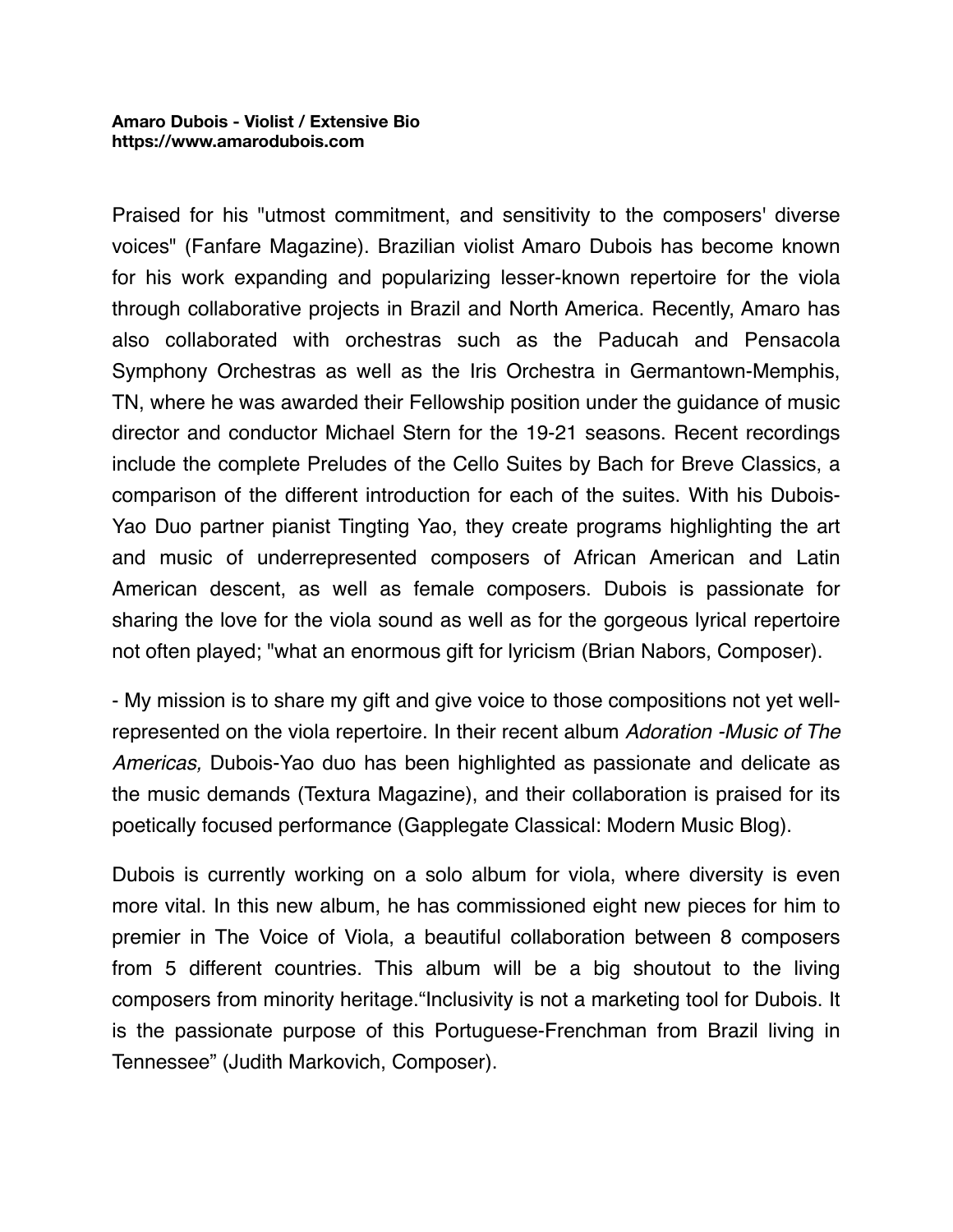Praised for his "utmost commitment, and sensitivity to the composers' diverse voices" (Fanfare Magazine). Brazilian violist Amaro Dubois has become known for his work expanding and popularizing lesser-known repertoire for the viola through collaborative projects in Brazil and North America. Recently, Amaro has also collaborated with orchestras such as the Paducah and Pensacola Symphony Orchestras as well as the Iris Orchestra in Germantown-Memphis, TN, where he was awarded their Fellowship position under the guidance of music director and conductor Michael Stern for the 19-21 seasons. Recent recordings include the complete Preludes of the Cello Suites by Bach for Breve Classics, a comparison of the different introduction for each of the suites. With his Dubois-Yao Duo partner pianist Tingting Yao, they create programs highlighting the art and music of underrepresented composers of African American and Latin American descent, as well as female composers. Dubois is passionate for sharing the love for the viola sound as well as for the gorgeous lyrical repertoire not often played; "what an enormous gift for lyricism (Brian Nabors, Composer).

- My mission is to share my gift and give voice to those compositions not yet wellrepresented on the viola repertoire. In their recent album *Adoration -Music of The Americas,* Dubois-Yao duo has been highlighted as passionate and delicate as the music demands (Textura Magazine), and their collaboration is praised for its poetically focused performance (Gapplegate Classical: Modern Music Blog).

Dubois is currently working on a solo album for viola, where diversity is even more vital. In this new album, he has commissioned eight new pieces for him to premier in The Voice of Viola, a beautiful collaboration between 8 composers from 5 different countries. This album will be a big shoutout to the living composers from minority heritage."Inclusivity is not a marketing tool for Dubois. It is the passionate purpose of this Portuguese-Frenchman from Brazil living in Tennessee" (Judith Markovich, Composer).